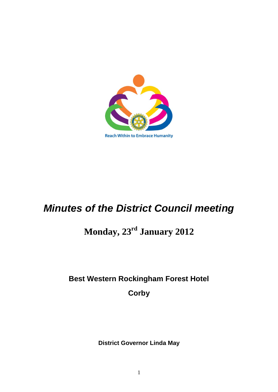

# *Minutes of the District Council meeting*

## **Monday, 23rd January 2012**

## **Best Western Rockingham Forest Hotel**

**Corby**

**District Governor Linda May**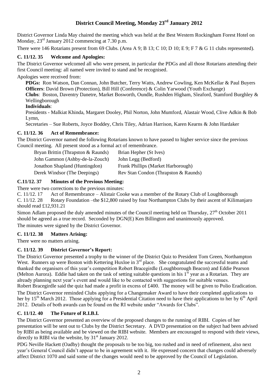#### **District Council Meeting, Monday 23 rd January 2012**

District Governor Linda May chaired the meeting which was held at the Best Western Rockingham Forest Hotel on Monday,  $23<sup>rd</sup>$  January 2012 commencing at 7.30 p.m.

There were 146 Rotarians present from 69 Clubs. (Area A 9; B 13; C 10; D 10; E 9; F 7 & G 11 clubs represented).

#### **C. 11/12. 35 Welcome and Apologies:**

The District Governor welcomed all who were present, in particular the PDGs and all those Rotarians attending their first Council meeting: all named were invited to stand and be recognised.

Apologies were received from:

**PDGs:** Ron Watson, Dan Connan, John Butcher, Terry Watts, Andrew Cowling, Ken McKellar & Paul Buyers **Officers**: David Brown (Protection), Bill Hill (Conference) & Colin Yarwood (Youth Exchange)

**Clubs**: Boston, Daventry Danetre, Market Bosworth, Oundle, Rushden Higham, Sleaford, Stamford Burghley & Wellingborough

#### **Individuals**:

Presidents - Malkiat Khinda, Margaret Dooley, Phil Norton, John Mumford, Alastair Wood, Clive Adkin & Bob Lymn,

Secretaries – Sue Roberts, Joyce Boddey, Chris Tiley, Adrian Harrison, Karen Kearns & John Hardaker

#### **C. 11/12. 36 Act of Remembrance:**

The District Governor named the following Rotarians known to have passed to higher service since the previous Council meeting. All present stood as a formal act of remembrance.

| Bryan Brittin (Thrapston & Raunds) | Brian Hepher (St Ives)               |
|------------------------------------|--------------------------------------|
| John Gammon (Ashby-de-la-Zouch)    | John Legg (Bedford)                  |
| Jonathon Shapland (Huntingdon)     | Frank Phillips (Market Harborough)   |
| Derek Windsor (The Deepings)       | Rev Stan Condon (Thrapston & Raunds) |

#### **C.11/12. 37 Minutes of the Previous Meeting:**

There were two corrections to the previous minutes:

C. 11/12. 17 Act of Remembrance – Alistair Cooke was a member of the Rotary Club of Loughborough

C. 11/12. 28 Rotary Foundation –the \$12,800 raised by four Northampton Clubs by their ascent of Kilimanjaro should read £12,931.21

Simon Adlam proposed the duly amended minutes of the Council meeting held on Thursday,  $27<sup>th</sup>$  October 2011 should be agreed as a true record. Seconded by DGN(E) Ken Billington and unanimously approved.

The minutes were signed by the District Governor.

#### **C. 11/12. 38 Matters Arising:**

There were no matters arising.

#### **C. 11/12. 39 District Governor's Report:**

The District Governor presented a trophy to the winner of the District Quiz to President Tom Green, Northampton West. Runners up were Boston with Kettering Huxloe in 3<sup>rd</sup> place. She congratulated the successful teams and thanked the organisers of this year's competition Robert Bracegirdle (Loughborough Beacon) and Eddie Pearson (Melton Aurora). Eddie had taken on the task of setting suitable questions in his  $1<sup>st</sup>$  year as a Rotarian. They are already planning next year's event and would like to be contacted with suggestions for suitable venues.

Robert Bracegirdle said the quiz had made a profit in excess of £400. The money will be given to Polio Eradication. The District Governor reminded Clubs applying for a Changemaker Award to have their completed applications to her by  $15<sup>th</sup>$  March 2012. Those applying for a Presidential Citation need to have their applications to her by  $6<sup>th</sup>$  April

2012. Details of both awards can be found on the RI website under "Awards for Clubs".

#### **C. 11/12. 40 The Future of R.I.B.I.**

The District Governor presented an overview of the proposed changes to the running of RIBI. Copies of her presentation will be sent out to Clubs by the District Secretary. A DVD presentation on the subject had been advised by RIBI as being available and be viewed on the RIBI website. Members are encouraged to respond with their views, directly to RIBI via the website, by  $31<sup>st</sup>$  January 2012.

PDG Neville Hackett (Oadby) thought the proposals to be too big, too rushed and in need of refinement, also next year's General Council didn't appear to be in agreement with it. He expressed concern that changes could adversely affect District 1070 and said some of the changes would need to be approved by the Council of Legislation.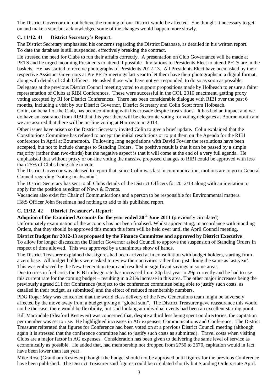The District Governor did not believe the running of our District would be affected. She thought it necessary to get on and make a start but acknowledged some of the changes would happen more slowly.

#### **C. 11/12. 41 District Secretary's Report:**

The District Secretary emphasised his concerns regarding the District Database, as detailed in his written report. To date the database is still suspended, effectively breaking the contract.

He stressed the need for Clubs to run their affairs correctly. A presentation on Club Governance will be made at PETS and he urged incoming Presidents to attend if possible. Invitations to Presidents Elect to attend PETS are in the baskets. He has started to receive photographs of Presidents 2012-13. All Presidents Elect have been asked by their respective Assistant Governors at Pre PETS meetings last year to let them have their photographs in a digital format, along with details of Club Officers. He asked those who have not yet responded, to do so as soon as possible.

Delegates at the previous District Council meeting voted to support propositions made by Holbeach to ensure a fairer representation of Clubs at RIBI Conferences. These were successful in the COL 2010 enactment, getting proxy voting accepted by RI for District Conferences. There has been considerable dialogue with RIBI over the past 6 months, including a visit by our District Governor, District Secretary and Colin Scott from Holbeach.

Colin, on behalf of the Club, has been continuing with his crusade despite frustrations. It has had an impact and we do have an assurance from RIBI that this year there will be electronic voting for voting delegates at Bournemouth and we are assured that there will be on-line voting at Harrogate in 2013.

Other issues have arisen so the District Secretary invited Colin to give a brief update. Colin explained that the Constitutions Committee has refused to accept the initial resolutions or to put them on the Agenda for the RIBI conference in April at Bournemoth. Following long negotiations with David Fowler the resolutions have been accepted, but not to include changes to Standing Orders. The positive result is that it can be passed by a simple majority (rather than two-thirds) but the negative aspect is that it will come at the end of a very full agenda. He emphasised that without proxy or on-line voting the massive proposed changes to RIBI could be approved with less than 25% of Clubs being able to vote.

The District Governor was pleased to report that, since Colin was last in communication, motions are to go to General Council regarding "voting in absentia".

The District Secretary has sent to all Clubs details of the District Officers for 2012/13 along with an invitation to apply for the position as editor of News & Events.

Vacancies also exist for Chair of Communications and a person to be responsible for Environmental matters.

H&S Officer John Steedman had nothing to add to his published report.

#### **C. 11/12. 42 District Treasurer's Report:**

**Adoption of the Examined Accounts for the year ended 30th June 2011** (previously circulated) Unfortunately examination of the accounts has not been finalised. Whilst appreciating, in accordance with Standing Orders, that they should be approved this month this item will be held over until the April Council meeting.

**District Budget for 2012-13 as proposed by the Finance Committee and approved by District Executive** To allow for longer discussion the District Governor asked Council to approve the suspension of Standing Orders in respect of time allowed. This was approved by a unanimous show of hands.

The District Treasurer explained that figures had been arrived at in consultation with budget holders, starting from a zero base. All budget holders were asked to review their activities rather than just 'doing the same as last year'. This was embraced by the New Generation team and resulted in significant savings in some areas.

Due to rises in fuel costs the RIBI mileage rate has increased from 24p last year to 29p currently and he had to use this current rate for the coming budget – resulting in a 21% increase in this area. The other major increases being the previously agreed £11 for Conference (subject to the conference committee being able to justify such costs, as detailed in their budget, as submitted) and the effect of reduced membership numbers.

PDG Roger May was concerned that the world class delivery of the New Generations team might be adversely affected by the move away from a budget giving a "global sum". The District Treasurer gave reassurance this would not be the case, there would be flexibility, but said looking at individual events had been an excellent starting point.

Bill Martindale (Sleaford Kesteven) was concerned that, despite a third less being spent on directories, the capitation per member was set to rise. He highlighted increases in AG expenses, Communications and Conference. The District Treasurer reiterated that figures for Conference had been voted on at a previous District Council meeting (although again it is stressed that the conference committee had to justify such costs as submitted). Travel costs when visiting Clubs are a major factor in AG expenses. Consideration has been given to delivering the same level of service as economically as possible. He added that, had membership not dropped from 2750 to 2670, capitation would in fact have been lower than last year.

Mike Rose (Grantham Kesteven) thought the budget should not be approved until figures for the previous Conference have been published. The District Treasurer said figures could be circulated shortly but Standing Orders state April.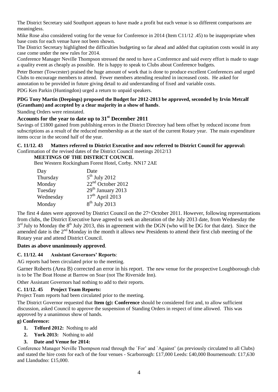The District Secretary said Southport appears to have made a profit but each venue is so different comparisons are meaningless.

Mike Rose also considered voting for the venue for Conference in 2014 (Item C11/12 .45) to be inappropriate when base costs for each venue have not been shown.

The District Secretary highlighted the difficulties budgeting so far ahead and added that capitation costs would in any case come under the new rules for 2014.

Conference Manager Neville Thompson stressed the need to have a Conference and said every effort is made to stage a quality event as cheaply as possible. He is happy to speak to Clubs about Conference budgets.

Peter Borner (Towcester) praised the huge amount of work that is done to produce excellent Conferences and urged Clubs to encourage members to attend. Fewer members attending resulted in increased costs. He asked for annotation to be provided in future giving detail to aid understanding of fixed and variable costs.

PDG Ken Parkin (Huntingdon) urged a return to unpaid speakers.

#### **PDG Tony Martin (Deepings) proposed the Budget for 2012-2013 be approved, seconded by Irvin Metcalf (Grantham) and accepted by a clear majority in a show of hands**.

Standing Orders were reinstated.

### **Accounts for the year to date up to 31st December 2011**

Savings of £1800 gained from publishing errors in the District Directory had been offset by reduced income from subscriptions as a result of the reduced membership as at the start of the current Rotary year. The main expenditure items occur in the second half of the year.

### **C. 11/12. 43 Matters referred to District Executive and now referred to District Council for approval:**

Confirmation of the revised dates of the District Council meetings 2012/13

#### **MEETINGS OF THE DISTRICT COUNCIL**

Best Western Rockingham Forest Hotel, Corby. NN17 2AE

| Day       | Date                          |
|-----------|-------------------------------|
| Thursday  | $5th$ July 2012               |
| Monday    | 22 <sup>nd</sup> October 2012 |
| Tuesday   | $29th$ January 2013           |
| Wednesday | $17th$ April 2013             |
| Monday    | $8th$ July 2013               |

The first 4 dates were approved by District Council on the  $27<sup>th</sup>$  October 2011. However, following representations from clubs, the District Executive have agreed to seek an alteration of the July 2013 date, from Wednesday the  $3<sup>rd</sup>$  July to Monday the 8<sup>th</sup> July 2013, this in agreement with the DGN (who will be DG for that date). Since the amended date is the  $2<sup>nd</sup>$  Monday in the month it allows new Presidents to attend their first club meeting of the Rotary year and attend District Council.

#### **Dates as above unanimously approved**.

#### **C. 11/12. 44 Assistant Governors' Reports**:

AG reports had been circulated prior to the meeting.

Garner Roberts (Area B) corrected an error in his report. The new venue for the prospective Loughborough club is to be The Boat House at Barrow on Soar (not The Riverside Inn).

Other Assistant Governors had nothing to add to their reports.

#### **C. 11/12. 45 Project Team Reports:**

Project Team reports had been circulated prior to the meeting.

The District Governor requested that **Item (g): Conference** should be considered first and, to allow sufficient discussion, asked Council to approve the suspension of Standing Orders in respect of time allowed. This was approved by a unanimous show of hands.

#### **g) Conference:**

- **1. Telford 2012:** Nothing to add
- **2. York 2013:** Nothing to add

#### **3. Date and Venue for 2014:**

Conference Manager Neville Thompson read through the `For' and `Against' (as previously circulated to all Clubs) and stated the hire costs for each of the four venues - Scarborough: £17,000 Leeds: £40,000 Bournemouth: £17,630 and Llandudno: £15,000.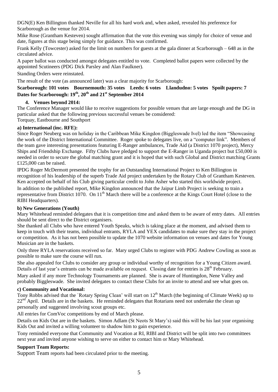DGN(E) Ken Billington thanked Neville for all his hard work and, when asked, revealed his preference for Scarborough as the venue for 2014.

Mike Rose (Grantham Kesteven) sought affirmation that the vote this evening was simply for choice of venue and date, figures at this stage being simply for guidance. This was confirmed.

Frank Kelly (Towcester) asked for the limit on numbers for guests at the gala dinner at Scarborough – 648 as in the circulated advice.

A paper ballot was conducted amongst delegates entitled to vote. Completed ballot papers were collected by the appointed Scutineers (PDG Dick Parsley and Alan Faulkner).

Standing Orders were reinstated.

The result of the vote (as announced later) was a clear majority for Scarborough:

#### **Scarborough: 101 votes Bournemouth: 35 votes Leeds: 6 votes Llandudno: 5 votes Spoilt papers: 7 Dates for Scarborough: 19th, 20th and 21st September 2014**

#### **4. Venues beyond 2014:**

The Conference Manager would like to receive suggestions for possible venues that are large enough and the DG in particular asked that the following previous successful venues be considered:

Torquay, Eastbourne and Southport

#### **a) International (inc. RFE):**

Since Roger Neuberg was on holiday in the Caribbean Mike Kingdon (Biggleswade Ivel) led the item "Showcasing the work of the District International Committee. Roger spoke to delegates live, on a "computer link". Members of the team gave interesting presentations featuring E-Ranger ambulances, Trade Aid (a District 1070 project), Mercy Ships and Friendship Exchange. Fifty Clubs have pledged to support the E-Ranger in Uganda project but £50,000 is needed in order to secure the global matching grant and it is hoped that with such Global and District matching Grants £125,000 can be raised.

IPDG Roger McDermott presented the trophy for an Outstanding International Project to Ken Billington in recognition of his leadership of the superb Trade Aid project undertaken by the Rotary Club of Grantham Kesteven. Ken accepted on behalf of his Club giving particular credit to John Asher who started this worldwide project.

In addition to the published report, Mike Kingdon announced that the Jaipur Limb Project is seeking to train a representative from District 1070. On 11<sup>th</sup> March there will be a conference at the Kings Court Hotel (close to the RIBI Headquarters).

#### **b) New Generations (Youth)**

Mary Whitehead reminded delegates that it is competition time and asked them to be aware of entry dates. All entries should be sent direct to the District organisers.

She thanked all Clubs who have entered Youth Speaks, which is taking place at the moment, and advised them to keep in touch with their teams, individual entrants, RYLA and YEX candidates to make sure they stay in the project or competition. As it has not been possible to update the 1070 website information on venues and dates for Young Musician are in the baskets.

Only three RYLA reservations received so far. Mary urged Clubs to register with PDG Andrew Cowling as soon as possible to make sure the course will run.

She also appealed for Clubs to consider any group or individual worthy of recognition for a Young Citizen award. Details of last year's entrants can be made available on request. Closing date for entries is 28<sup>th</sup> February.

Mary asked if any more Technology Tournaments are planned. She is aware of Huntingdon, Nene Valley and probably Biggleswade. She invited delegates to contact these Clubs for an invite to attend and see what goes on.

#### **c) Community and Vocational:**

Tony Robbs advised that the `Rotary Spring Clean' will start on  $12<sup>th</sup>$  March (the beginning of Climate Week) up to  $22<sup>nd</sup>$  April. Details are in the baskets. He reminded delegates that Rotarians need not undertake the clean up personally and suggested involving scout groups etc.

All entries for ComVoc competitions by end of March please.

Details on Kids Out are in the baskets. Simon Adlam (St Neots St Mary's) said this will be his last year organising Kids Out and invited a willing volunteer to shadow him to gain experience.

Tony reminded everyone that Community and Vocation at RI, RIBI and District will be split into two committees next year and invited anyone wishing to serve on either to contact him or Mary Whitehead.

#### **Support Team Reports:**

Support Team reports had been circulated prior to the meeting.